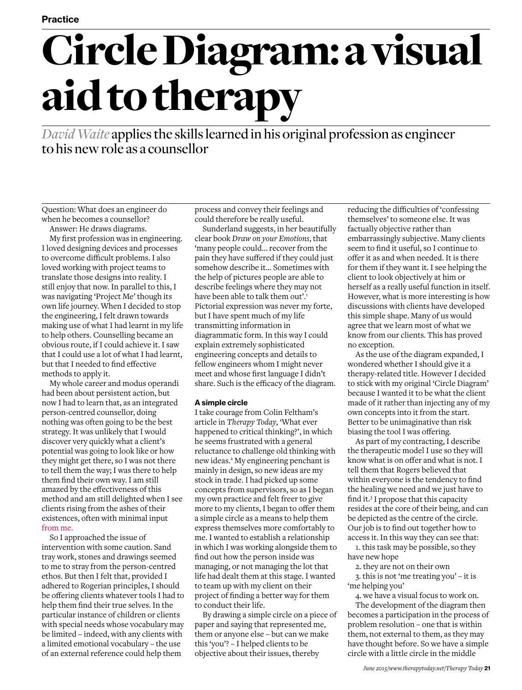# Circle Diagram: a visual aid to therapy

*David Waite* applies the skills learned in his original profession as engineer to his new role as a counsellor

Question: What does an engineer do when he becomes a counsellor?

Answer: He draws diagrams. My first profession was in engineering. I loved designing devices and processes to overcome difficult problems. I also loved working with project teams to translate those designs into reality. I still enjoy that now. In parallel to this, I was navigating 'Project Me' though its own life journey. When I decided to stop the engineering, I felt drawn towards making use of what I had learnt in my life to help others. Counselling became an obvious route, if I could achieve it. I saw that I could use a lot of what I had learnt, but that I needed to find effective methods to apply it.

My whole career and modus operandi had been about persistent action, but now I had to learn that, as an integrated person-centred counsellor, doing nothing was often going to be the best strategy. It was unlikely that I would discover very quickly what a client's potential was going to look like or how they might get there, so I was not there to tell them the way; I was there to help them find their own way. I am still amazed by the effectiveness of this method and am still delighted when I see clients rising from the ashes of their existences, often with minimal input from me.

So I approached the issue of intervention with some caution. Sand tray work, stones and drawings seemed to me to stray from the person-centred ethos. But then I felt that, provided I adhered to Rogerian principles, I should be offering clients whatever tools I had to help them find their true selves. In the particular instance of children or clients with special needs whose vocabulary may be limited – indeed, with any clients with a limited emotional vocabulary – the use of an external reference could help them

process and convey their feelings and could therefore be really useful.

Sunderland suggests, in her beautifully clear book *Draw on your Emotions*, that 'many people could… recover from the pain they have suffered if they could just somehow describe it… Sometimes with the help of pictures people are able to describe feelings where they may not have been able to talk them out'.<sup>1</sup> Pictorial expression was never my forte, but I have spent much of my life transmitting information in diagrammatic form. In this way I could explain extremely sophisticated engineering concepts and details to fellow engineers whom I might never meet and whose first language I didn't share. Such is the efficacy of the diagram.

# **A simple circle**

I take courage from Colin Feltham's article in *Therapy Today,* 'What ever happened to critical thinking?', in which he seems frustrated with a general reluctance to challenge old thinking with new ideas.<sup>2</sup> My engineering penchant is mainly in design, so new ideas are my stock in trade. I had picked up some concepts from supervisors, so as I began my own practice and felt freer to give more to my clients, I began to offer them a simple circle as a means to help them express themselves more comfortably to me. I wanted to establish a relationship in which I was working alongside them to find out how the person inside was managing, or not managing the lot that life had dealt them at this stage. I wanted to team up with my client on their project of finding a better way for them to conduct their life.

By drawing a simple circle on a piece of paper and saying that represented me, them or anyone else – but can we make this 'you'? – I helped clients to be objective about their issues, thereby

reducing the difficulties of 'confessing themselves' to someone else. It was factually objective rather than embarrassingly subjective. Many clients seem to find it useful, so I continue to offer it as and when needed. It is there for them if they want it. I see helping the client to look objectively at him or herself as a really useful function in itself. However, what is more interesting is how discussions with clients have developed this simple shape. Many of us would agree that we learn most of what we know from our clients. This has proved no exception.

As the use of the diagram expanded, I wondered whether I should give it a therapy-related title. However I decided to stick with my original 'Circle Diagram' because I wanted it to be what the client made of it rather than injecting any of my own concepts into it from the start. Better to be unimaginative than risk biasing the tool I was offering.

As part of my contracting, I describe the therapeutic model I use so they will know what is on offer and what is not. I tell them that Rogers believed that within everyone is the tendency to find the healing we need and we just have to find it.3 I propose that this capacity resides at the core of their being, and can be depicted as the centre of the circle. Our job is to find out together how to access it. In this way they can see that:

1. this task may be possible, so they have new hope

2. they are not on their own

3. this is not 'me treating you' – it is 'me helping you'

4. we have a visual focus to work on. The development of the diagram then becomes a participation in the process of problem resolution – one that is within them, not external to them, as they may have thought before. So we have a simple circle with a little circle in the middle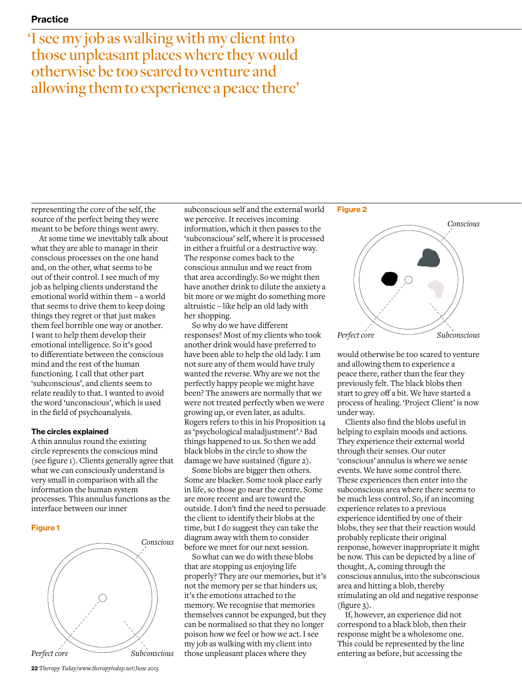'I see my job as walking with my client into those unpleasant places where they would otherwise be too scared to venture and allowing them to experience a peace there'

representing the core of the self, the source of the perfect being they were meant to be before things went awry.

At some time we inevitably talk about what they are able to manage in their conscious processes on the one hand and, on the other, what seems to be out of their control. I see much of my job as helping clients understand the emotional world within them – a world that seems to drive them to keep doing things they regret or that just makes them feel horrible one way or another. I want to help them develop their emotional intelligence. So it's good to differentiate between the conscious mind and the rest of the human functioning. I call that other part 'subconscious', and clients seem to relate readily to that. I wanted to avoid the word 'unconscious', which is used in the field of psychoanalysis.

# **The circles explained**

A thin annulus round the existing circle represents the conscious mind (see figure 1). Clients generally agree that what we can consciously understand is very small in comparison with all the information the human system processes. This annulus functions as the interface between our inner

## **Figure 1**



subconscious self and the external world we perceive. It receives incoming information, which it then passes to the 'subconscious' self, where it is processed in either a fruitful or a destructive way. The response comes back to the conscious annulus and we react from that area accordingly. So we might then have another drink to dilute the anxiety a bit more or we might do something more altruistic – like help an old lady with her shopping.

So why do we have different responses? Most of my clients who took another drink would have preferred to have been able to help the old lady. I am not sure any of them would have truly wanted the reverse. Why are we not the perfectly happy people we might have been? The answers are normally that we were not treated perfectly when we were growing up, or even later, as adults. Rogers refers to this in his Proposition 14 as 'psychological maladjustment'.4 Bad things happened to us. So then we add black blobs in the circle to show the damage we have sustained (figure 2).

Some blobs are bigger then others. Some are blacker. Some took place early in life, so those go near the centre. Some are more recent and are toward the outside. I don't find the need to persuade the client to identify their blobs at the time, but I do suggest they can take the diagram away with them to consider before we meet for our next session.

So what can we do with these blobs that are stopping us enjoying life properly? They are our memories, but it's not the memory per se that hinders us; it's the emotions attached to the memory. We recognise that memories themselves cannot be expunged, but they can be normalised so that they no longer poison how we feel or how we act. I see my job as walking with my client into those unpleasant places where they

#### **Figure 2**



would otherwise be too scared to venture and allowing them to experience a peace there, rather than the fear they previously felt. The black blobs then start to grey off a bit. We have started a process of healing. 'Project Client' is now under way.

Clients also find the blobs useful in helping to explain moods and actions. They experience their external world through their senses. Our outer 'conscious' annulus is where we sense events. We have some control there. These experiences then enter into the subconscious area where there seems to be much less control. So, if an incoming experience relates to a previous experience identified by one of their blobs, they see that their reaction would probably replicate their original response, however inappropriate it might be now. This can be depicted by a line of thought, A, coming through the conscious annulus, into the subconscious area and hitting a blob, thereby stimulating an old and negative response (figure 3).

If, however, an experience did not correspond to a black blob, then their response might be a wholesome one. This could be represented by the line entering as before, but accessing the